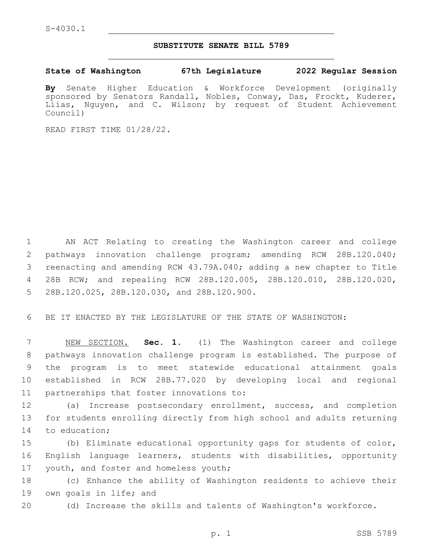## **SUBSTITUTE SENATE BILL 5789**

**State of Washington 67th Legislature 2022 Regular Session**

**By** Senate Higher Education & Workforce Development (originally sponsored by Senators Randall, Nobles, Conway, Das, Frockt, Kuderer, Liias, Nguyen, and C. Wilson; by request of Student Achievement Council)

READ FIRST TIME 01/28/22.

 AN ACT Relating to creating the Washington career and college pathways innovation challenge program; amending RCW 28B.120.040; reenacting and amending RCW 43.79A.040; adding a new chapter to Title 28B RCW; and repealing RCW 28B.120.005, 28B.120.010, 28B.120.020, 5 28B.120.025, 28B.120.030, and 28B.120.900.

6 BE IT ENACTED BY THE LEGISLATURE OF THE STATE OF WASHINGTON:

 NEW SECTION. **Sec. 1.** (1) The Washington career and college pathways innovation challenge program is established. The purpose of the program is to meet statewide educational attainment goals established in RCW 28B.77.020 by developing local and regional partnerships that foster innovations to:

12 (a) Increase postsecondary enrollment, success, and completion 13 for students enrolling directly from high school and adults returning 14 to education;

15 (b) Eliminate educational opportunity gaps for students of color, 16 English language learners, students with disabilities, opportunity 17 youth, and foster and homeless youth;

18 (c) Enhance the ability of Washington residents to achieve their 19 own goals in life; and

20 (d) Increase the skills and talents of Washington's workforce.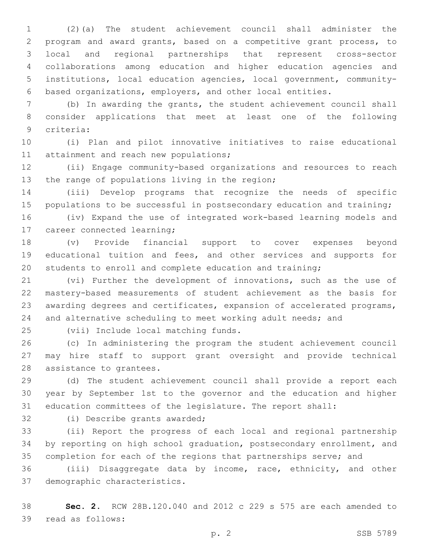(2)(a) The student achievement council shall administer the program and award grants, based on a competitive grant process, to local and regional partnerships that represent cross-sector collaborations among education and higher education agencies and institutions, local education agencies, local government, community-based organizations, employers, and other local entities.

 (b) In awarding the grants, the student achievement council shall consider applications that meet at least one of the following criteria:9

 (i) Plan and pilot innovative initiatives to raise educational 11 attainment and reach new populations;

 (ii) Engage community-based organizations and resources to reach 13 the range of populations living in the region;

 (iii) Develop programs that recognize the needs of specific 15 populations to be successful in postsecondary education and training;

 (iv) Expand the use of integrated work-based learning models and 17 career connected learning;

 (v) Provide financial support to cover expenses beyond educational tuition and fees, and other services and supports for students to enroll and complete education and training;

 (vi) Further the development of innovations, such as the use of mastery-based measurements of student achievement as the basis for awarding degrees and certificates, expansion of accelerated programs, 24 and alternative scheduling to meet working adult needs; and

25 (vii) Include local matching funds.

 (c) In administering the program the student achievement council may hire staff to support grant oversight and provide technical 28 assistance to grantees.

 (d) The student achievement council shall provide a report each year by September 1st to the governor and the education and higher education committees of the legislature. The report shall:

32 (i) Describe grants awarded;

 (ii) Report the progress of each local and regional partnership by reporting on high school graduation, postsecondary enrollment, and completion for each of the regions that partnerships serve; and

 (iii) Disaggregate data by income, race, ethnicity, and other 37 demographic characteristics.

 **Sec. 2.** RCW 28B.120.040 and 2012 c 229 s 575 are each amended to 39 read as follows: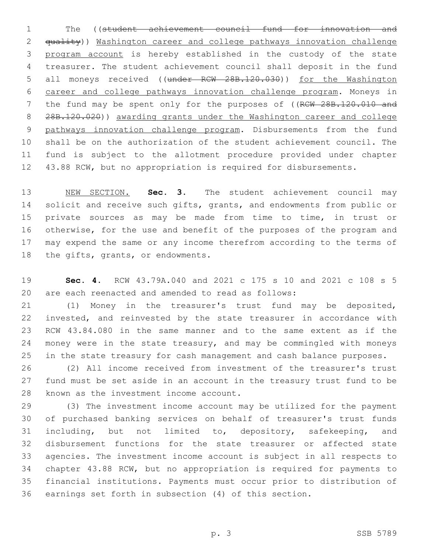The ((student achievement council fund for innovation and 2 <del>quality</del>)) Washington career and college pathways innovation challenge program account is hereby established in the custody of the state treasurer. The student achievement council shall deposit in the fund 5 all moneys received ((under RCW 28B.120.030)) for the Washington career and college pathways innovation challenge program. Moneys in 7 the fund may be spent only for the purposes of ((RCW 28B.120.010 and 28B.120.020)) awarding grants under the Washington career and college pathways innovation challenge program. Disbursements from the fund shall be on the authorization of the student achievement council. The fund is subject to the allotment procedure provided under chapter 43.88 RCW, but no appropriation is required for disbursements.

 NEW SECTION. **Sec. 3.** The student achievement council may 14 solicit and receive such gifts, grants, and endowments from public or private sources as may be made from time to time, in trust or otherwise, for the use and benefit of the purposes of the program and may expend the same or any income therefrom according to the terms of the gifts, grants, or endowments.

 **Sec. 4.** RCW 43.79A.040 and 2021 c 175 s 10 and 2021 c 108 s 5 are each reenacted and amended to read as follows:

 (1) Money in the treasurer's trust fund may be deposited, invested, and reinvested by the state treasurer in accordance with RCW 43.84.080 in the same manner and to the same extent as if the money were in the state treasury, and may be commingled with moneys in the state treasury for cash management and cash balance purposes.

 (2) All income received from investment of the treasurer's trust fund must be set aside in an account in the treasury trust fund to be 28 known as the investment income account.

 (3) The investment income account may be utilized for the payment of purchased banking services on behalf of treasurer's trust funds 31 including, but not limited to, depository, safekeeping, and disbursement functions for the state treasurer or affected state agencies. The investment income account is subject in all respects to chapter 43.88 RCW, but no appropriation is required for payments to financial institutions. Payments must occur prior to distribution of earnings set forth in subsection (4) of this section.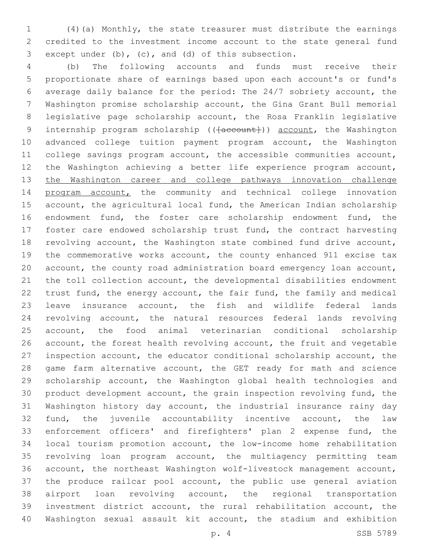(4)(a) Monthly, the state treasurer must distribute the earnings credited to the investment income account to the state general fund 3 except under  $(b)$ ,  $(c)$ , and  $(d)$  of this subsection.

 (b) The following accounts and funds must receive their proportionate share of earnings based upon each account's or fund's average daily balance for the period: The 24/7 sobriety account, the Washington promise scholarship account, the Gina Grant Bull memorial legislative page scholarship account, the Rosa Franklin legislative 9 internship program scholarship (( $\{a$ ccount)) account, the Washington advanced college tuition payment program account, the Washington college savings program account, the accessible communities account, the Washington achieving a better life experience program account, the Washington career and college pathways innovation challenge 14 program account, the community and technical college innovation 15 account, the agricultural local fund, the American Indian scholarship endowment fund, the foster care scholarship endowment fund, the foster care endowed scholarship trust fund, the contract harvesting revolving account, the Washington state combined fund drive account, the commemorative works account, the county enhanced 911 excise tax account, the county road administration board emergency loan account, the toll collection account, the developmental disabilities endowment trust fund, the energy account, the fair fund, the family and medical leave insurance account, the fish and wildlife federal lands revolving account, the natural resources federal lands revolving account, the food animal veterinarian conditional scholarship account, the forest health revolving account, the fruit and vegetable inspection account, the educator conditional scholarship account, the 28 game farm alternative account, the GET ready for math and science scholarship account, the Washington global health technologies and product development account, the grain inspection revolving fund, the Washington history day account, the industrial insurance rainy day fund, the juvenile accountability incentive account, the law enforcement officers' and firefighters' plan 2 expense fund, the local tourism promotion account, the low-income home rehabilitation revolving loan program account, the multiagency permitting team account, the northeast Washington wolf-livestock management account, the produce railcar pool account, the public use general aviation airport loan revolving account, the regional transportation investment district account, the rural rehabilitation account, the Washington sexual assault kit account, the stadium and exhibition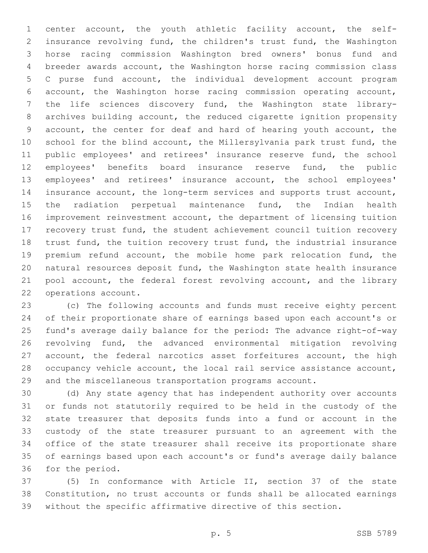center account, the youth athletic facility account, the self- insurance revolving fund, the children's trust fund, the Washington horse racing commission Washington bred owners' bonus fund and breeder awards account, the Washington horse racing commission class C purse fund account, the individual development account program account, the Washington horse racing commission operating account, the life sciences discovery fund, the Washington state library- archives building account, the reduced cigarette ignition propensity account, the center for deaf and hard of hearing youth account, the school for the blind account, the Millersylvania park trust fund, the public employees' and retirees' insurance reserve fund, the school employees' benefits board insurance reserve fund, the public employees' and retirees' insurance account, the school employees' insurance account, the long-term services and supports trust account, the radiation perpetual maintenance fund, the Indian health improvement reinvestment account, the department of licensing tuition recovery trust fund, the student achievement council tuition recovery 18 trust fund, the tuition recovery trust fund, the industrial insurance premium refund account, the mobile home park relocation fund, the natural resources deposit fund, the Washington state health insurance 21 pool account, the federal forest revolving account, and the library 22 operations account.

 (c) The following accounts and funds must receive eighty percent of their proportionate share of earnings based upon each account's or fund's average daily balance for the period: The advance right-of-way revolving fund, the advanced environmental mitigation revolving 27 account, the federal narcotics asset forfeitures account, the high occupancy vehicle account, the local rail service assistance account, and the miscellaneous transportation programs account.

 (d) Any state agency that has independent authority over accounts or funds not statutorily required to be held in the custody of the state treasurer that deposits funds into a fund or account in the custody of the state treasurer pursuant to an agreement with the office of the state treasurer shall receive its proportionate share of earnings based upon each account's or fund's average daily balance 36 for the period.

 (5) In conformance with Article II, section 37 of the state Constitution, no trust accounts or funds shall be allocated earnings without the specific affirmative directive of this section.